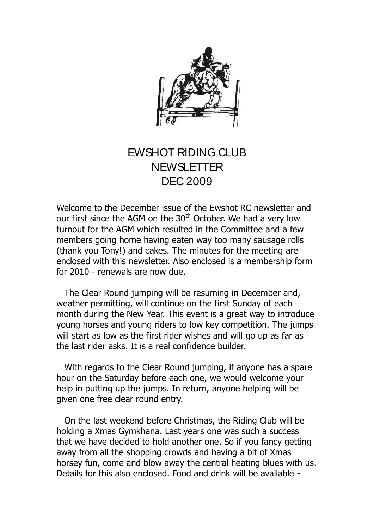

## EWSHOT RIDING CLUB **NEWSLETTER** DEC 2009

Welcome to the December issue of the Ewshot RC newsletter and our first since the AGM on the 30<sup>th</sup> October. We had a very low turnout for the AGM which resulted in the Committee and a few members going home having eaten way too many sausage rolls (thank you Tony!) and cakes. The minutes for the meeting are enclosed with this newsletter. Also enclosed is a membership form for 2010 - renewals are now due.

 The Clear Round jumping will be resuming in December and, weather permitting, will continue on the first Sunday of each month during the New Year. This event is a great way to introduce young horses and young riders to low key competition. The jumps will start as low as the first rider wishes and will go up as far as the last rider asks. It is a real confidence builder.

 With regards to the Clear Round jumping, if anyone has a spare hour on the Saturday before each one, we would welcome your help in putting up the jumps. In return, anyone helping will be given one free clear round entry.

 On the last weekend before Christmas, the Riding Club will be holding a Xmas Gymkhana. Last years one was such a success that we have decided to hold another one. So if you fancy getting away from all the shopping crowds and having a bit of Xmas horsey fun, come and blow away the central heating blues with us. Details for this also enclosed. Food and drink will be available -